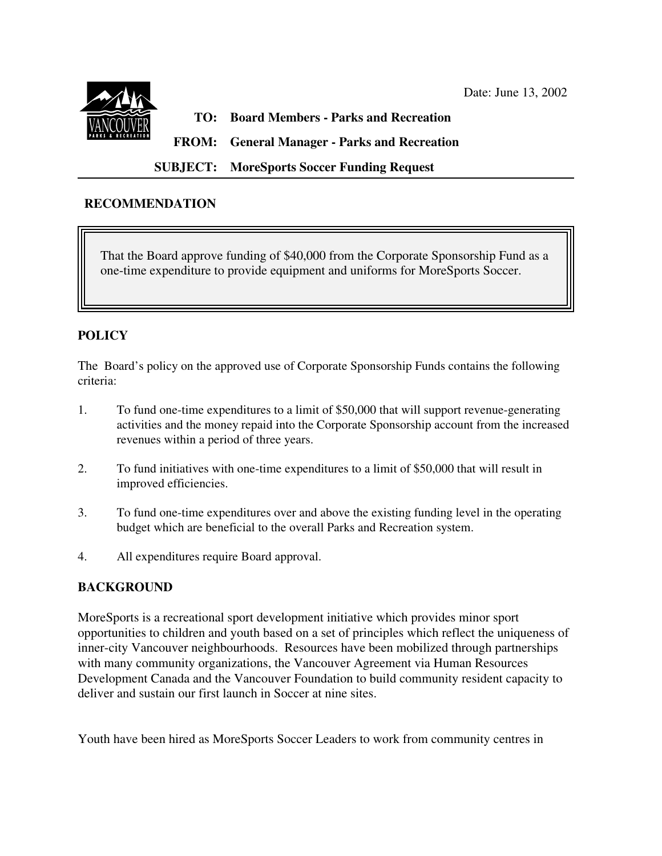

# **TO: Board Members - Parks and Recreation**

**FROM: General Manager - Parks and Recreation**

 **SUBJECT: MoreSports Soccer Funding Request**

### **RECOMMENDATION**

 That the Board approve funding of \$40,000 from the Corporate Sponsorship Fund as a one-time expenditure to provide equipment and uniforms for MoreSports Soccer.

# **POLICY**

 $\overline{\phantom{a}}$ 

The Board's policy on the approved use of Corporate Sponsorship Funds contains the following criteria:

- 1. To fund one-time expenditures to a limit of \$50,000 that will support revenue-generating activities and the money repaid into the Corporate Sponsorship account from the increased revenues within a period of three years.
- 2. To fund initiatives with one-time expenditures to a limit of \$50,000 that will result in improved efficiencies.
- 3. To fund one-time expenditures over and above the existing funding level in the operating budget which are beneficial to the overall Parks and Recreation system.
- 4. All expenditures require Board approval.

# **BACKGROUND**

MoreSports is a recreational sport development initiative which provides minor sport opportunities to children and youth based on a set of principles which reflect the uniqueness of inner-city Vancouver neighbourhoods. Resources have been mobilized through partnerships with many community organizations, the Vancouver Agreement via Human Resources Development Canada and the Vancouver Foundation to build community resident capacity to deliver and sustain our first launch in Soccer at nine sites.

Youth have been hired as MoreSports Soccer Leaders to work from community centres in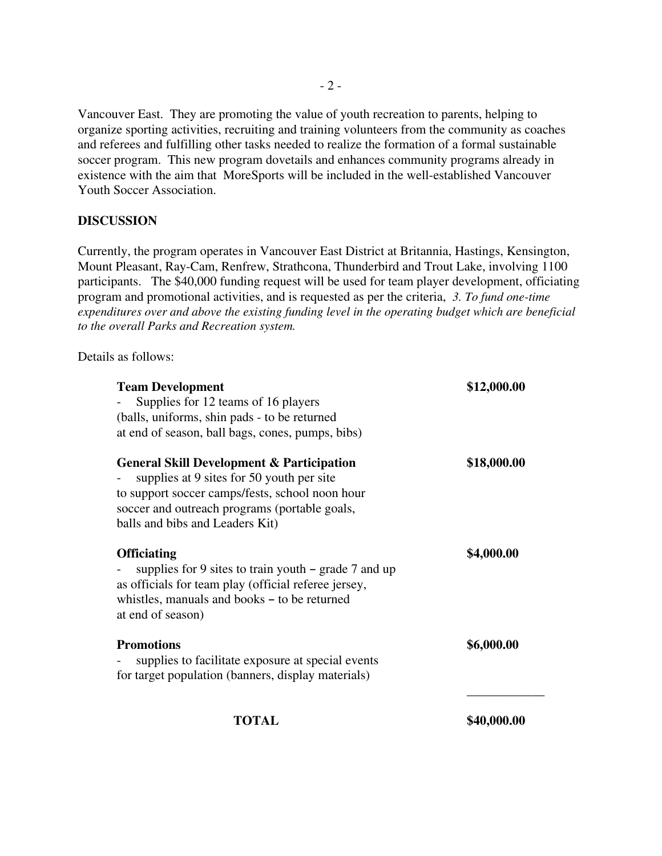Vancouver East. They are promoting the value of youth recreation to parents, helping to organize sporting activities, recruiting and training volunteers from the community as coaches and referees and fulfilling other tasks needed to realize the formation of a formal sustainable soccer program. This new program dovetails and enhances community programs already in existence with the aim that MoreSports will be included in the well-established Vancouver Youth Soccer Association.

### **DISCUSSION**

Currently, the program operates in Vancouver East District at Britannia, Hastings, Kensington, Mount Pleasant, Ray-Cam, Renfrew, Strathcona, Thunderbird and Trout Lake, involving 1100 participants. The \$40,000 funding request will be used for team player development, officiating program and promotional activities, and is requested as per the criteria, *3. To fund one-time expenditures over and above the existing funding level in the operating budget which are beneficial to the overall Parks and Recreation system.*

Details as follows:

| <b>Team Development</b>                                                                                                                                                                                                                  | \$12,000.00 |
|------------------------------------------------------------------------------------------------------------------------------------------------------------------------------------------------------------------------------------------|-------------|
| Supplies for 12 teams of 16 players                                                                                                                                                                                                      |             |
| (balls, uniforms, shin pads - to be returned                                                                                                                                                                                             |             |
| at end of season, ball bags, cones, pumps, bibs)                                                                                                                                                                                         |             |
| <b>General Skill Development &amp; Participation</b><br>supplies at 9 sites for 50 youth per site<br>to support soccer camps/fests, school noon hour<br>soccer and outreach programs (portable goals,<br>balls and bibs and Leaders Kit) | \$18,000.00 |
| <b>Officiating</b><br>supplies for 9 sites to train youth $-$ grade 7 and up<br>as officials for team play (official referee jersey,<br>whistles, manuals and books – to be returned<br>at end of season)                                | \$4,000.00  |
| <b>Promotions</b><br>supplies to facilitate exposure at special events<br>for target population (banners, display materials)                                                                                                             | \$6,000.00  |
| TOTAL                                                                                                                                                                                                                                    | \$40,000.00 |